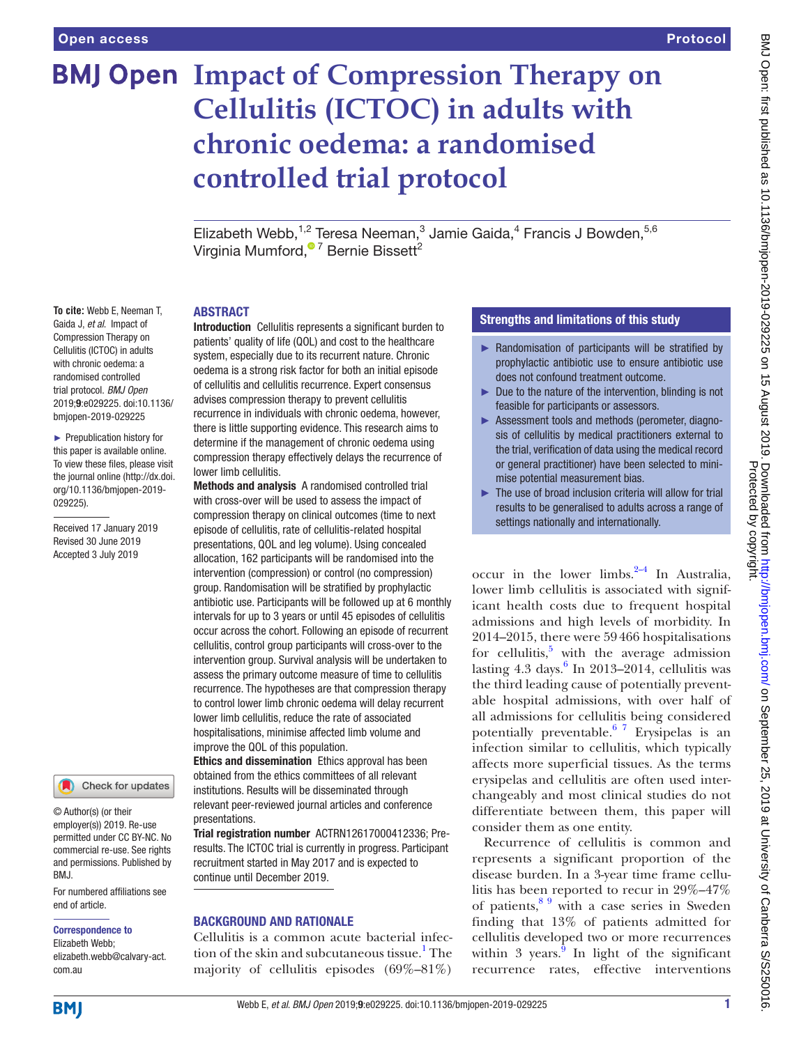**To cite:** Webb E, Neeman T, Gaida J, *et al*. Impact of Compression Therapy on Cellulitis (ICTOC) in adults with chronic oedema: a randomised controlled trial protocol. *BMJ Open* 2019;9:e029225. doi:10.1136/ bmjopen-2019-029225 ► Prepublication history for this paper is available online. To view these files, please visit the journal online (http://dx.doi. org/10.1136/bmjopen-2019-

029225).

Received 17 January 2019 Revised 30 June 2019 Accepted 3 July 2019

# **BMJ Open Impact of Compression Therapy on Cellulitis (ICTOC) in adults with chronic oedema: a randomised controlled trial protocol**

Elizabeth Webb, <sup>1,2</sup> Teresa Neeman, <sup>3</sup> Jamie Gaida, <sup>4</sup> Francis J Bowden, <sup>5,6</sup> Virginia Mumford[,](http://orcid.org/0000-0001-7915-0615)<sup>® 7</sup> Bernie Bissett<sup>2</sup>

### **ABSTRACT**

Introduction Cellulitis represents a significant burden to patients' quality of life (QOL) and cost to the healthcare system, especially due to its recurrent nature. Chronic oedema is a strong risk factor for both an initial episode of cellulitis and cellulitis recurrence. Expert consensus advises compression therapy to prevent cellulitis recurrence in individuals with chronic oedema, however, there is little supporting evidence. This research aims to determine if the management of chronic oedema using compression therapy effectively delays the recurrence of lower limb cellulitis.

Methods and analysis A randomised controlled trial with cross-over will be used to assess the impact of compression therapy on clinical outcomes (time to next episode of cellulitis, rate of cellulitis-related hospital presentations, QOL and leg volume). Using concealed allocation, 162 participants will be randomised into the intervention (compression) or control (no compression) group. Randomisation will be stratified by prophylactic antibiotic use. Participants will be followed up at 6 monthly intervals for up to 3 years or until 45 episodes of cellulitis occur across the cohort. Following an episode of recurrent cellulitis, control group participants will cross-over to the intervention group. Survival analysis will be undertaken to assess the primary outcome measure of time to cellulitis recurrence. The hypotheses are that compression therapy to control lower limb chronic oedema will delay recurrent lower limb cellulitis, reduce the rate of associated hospitalisations, minimise affected limb volume and improve the QOL of this population.

Ethics and dissemination Ethics approval has been obtained from the ethics committees of all relevant institutions. Results will be disseminated through relevant peer-reviewed journal articles and conference presentations.

Trial registration number ACTRN12617000412336; Preresults. The ICTOC trial is currently in progress. Participant recruitment started in May 2017 and is expected to continue until December 2019.

# Background and rationale

Cellulitis is a common acute bacterial infec-tion of the skin and subcutaneous tissue.<sup>[1](#page-7-0)</sup> The majority of cellulitis episodes  $(69\% - 81\%)$ 

# Strengths and limitations of this study

- ► Randomisation of participants will be stratified by prophylactic antibiotic use to ensure antibiotic use does not confound treatment outcome.
- ► Due to the nature of the intervention, blinding is not feasible for participants or assessors.
- ► Assessment tools and methods (perometer, diagnosis of cellulitis by medical practitioners external to the trial, verification of data using the medical record or general practitioner) have been selected to minimise potential measurement bias.
- ► The use of broad inclusion criteria will allow for trial results to be generalised to adults across a range of settings nationally and internationally.

occur in the lower limbs. $2-4$  In Australia, lower limb cellulitis is associated with significant health costs due to frequent hospital admissions and high levels of morbidity. In 2014–2015, there were 59466 hospitalisations for cellulitis, $5$  with the average admission lasting  $4.3$  days. $6$  In 2013–2014, cellulitis was the third leading cause of potentially preventable hospital admissions, with over half of all admissions for cellulitis being considered potentially preventable. $6^{7}$  Erysipelas is an infection similar to cellulitis, which typically affects more superficial tissues. As the terms erysipelas and cellulitis are often used interchangeably and most clinical studies do not differentiate between them, this paper will consider them as one entity.

Recurrence of cellulitis is common and represents a significant proportion of the disease burden. In a 3-year time frame cellulitis has been reported to recur in 29%–47% of patients,  $89$  with a case series in Sweden finding that 13% of patients admitted for cellulitis developed two or more recurrences within 3 years. $\frac{9}{5}$  $\frac{9}{5}$  $\frac{9}{5}$  In light of the significant recurrence rates, effective interventions

#### elizabeth.webb@calvary-act. com.au

end of article.

BMJ.

Correspondence to Elizabeth Webb;

© Author(s) (or their employer(s)) 2019. Re-use permitted under CC BY-NC. No commercial re-use. See rights and permissions. Published by

For numbered affiliations see

Check for updates

**BMI**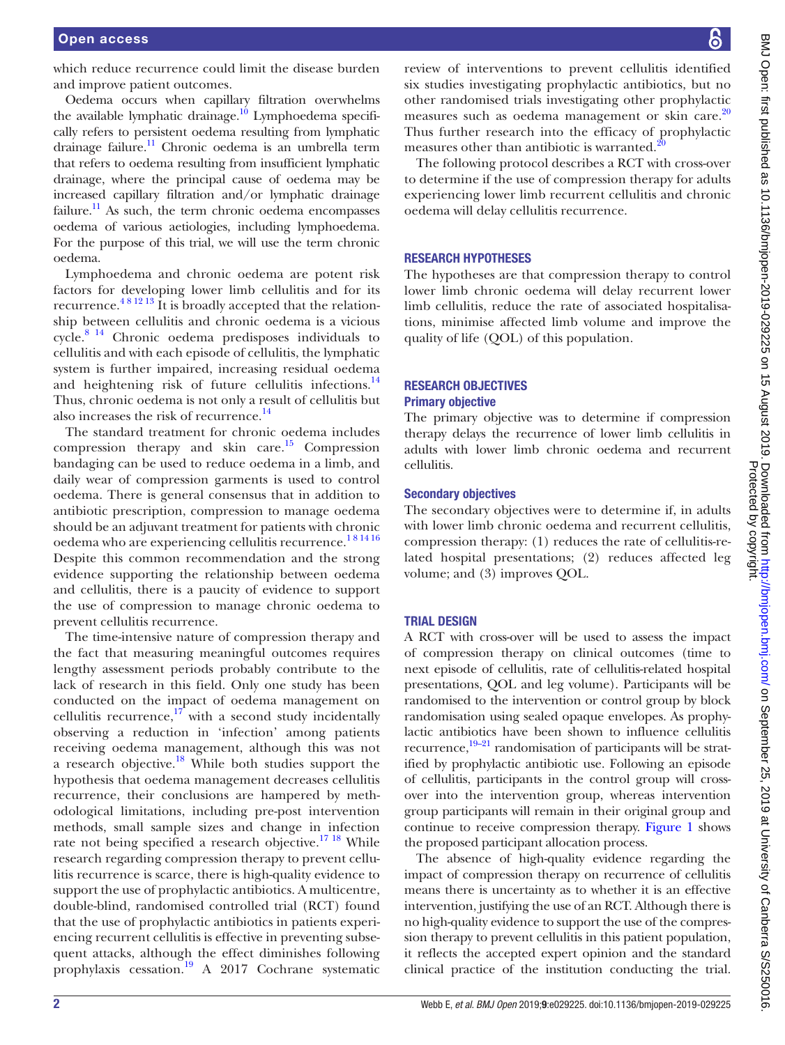which reduce recurrence could limit the disease burden and improve patient outcomes.

Oedema occurs when capillary filtration overwhelms the available lymphatic drainage.<sup>[10](#page-7-6)</sup> Lymphoedema specifically refers to persistent oedema resulting from lymphatic drainage failure[.11](#page-7-7) Chronic oedema is an umbrella term that refers to oedema resulting from insufficient lymphatic drainage, where the principal cause of oedema may be increased capillary filtration and/or lymphatic drainage failure.<sup>11</sup> As such, the term chronic oedema encompasses oedema of various aetiologies, including lymphoedema. For the purpose of this trial, we will use the term chronic oedema.

Lymphoedema and chronic oedema are potent risk factors for developing lower limb cellulitis and for its recurrence.<sup>48 12 13</sup> It is broadly accepted that the relationship between cellulitis and chronic oedema is a vicious cycle[.8 14](#page-7-4) Chronic oedema predisposes individuals to cellulitis and with each episode of cellulitis, the lymphatic system is further impaired, increasing residual oedema and heightening risk of future cellulitis infections. $^{14}$ Thus, chronic oedema is not only a result of cellulitis but also increases the risk of recurrence.<sup>[14](#page-7-9)</sup>

The standard treatment for chronic oedema includes compression therapy and skin care.<sup>15</sup> Compression bandaging can be used to reduce oedema in a limb, and daily wear of compression garments is used to control oedema. There is general consensus that in addition to antibiotic prescription, compression to manage oedema should be an adjuvant treatment for patients with chronic oedema who are experiencing cellulitis recurrence.<sup>181416</sup> Despite this common recommendation and the strong evidence supporting the relationship between oedema and cellulitis, there is a paucity of evidence to support the use of compression to manage chronic oedema to prevent cellulitis recurrence.

The time-intensive nature of compression therapy and the fact that measuring meaningful outcomes requires lengthy assessment periods probably contribute to the lack of research in this field. Only one study has been conducted on the impact of oedema management on cellulitis recurrence, $17$  with a second study incidentally observing a reduction in 'infection' among patients receiving oedema management, although this was not a research objective[.18](#page-7-12) While both studies support the hypothesis that oedema management decreases cellulitis recurrence, their conclusions are hampered by methodological limitations, including pre-post intervention methods, small sample sizes and change in infection rate not being specified a research objective.<sup>17 18</sup> While research regarding compression therapy to prevent cellulitis recurrence is scarce, there is high-quality evidence to support the use of prophylactic antibiotics. A multicentre, double-blind, randomised controlled trial (RCT) found that the use of prophylactic antibiotics in patients experiencing recurrent cellulitis is effective in preventing subsequent attacks, although the effect diminishes following prophylaxis cessation.<sup>19</sup> A 2017 Cochrane systematic

review of interventions to prevent cellulitis identified six studies investigating prophylactic antibiotics, but no other randomised trials investigating other prophylactic measures such as oedema management or skin care.<sup>[20](#page-7-14)</sup> Thus further research into the efficacy of prophylactic measures other than antibiotic is warranted.<sup>2</sup>

The following protocol describes a RCT with cross-over to determine if the use of compression therapy for adults experiencing lower limb recurrent cellulitis and chronic oedema will delay cellulitis recurrence.

#### Research hypotheses

The hypotheses are that compression therapy to control lower limb chronic oedema will delay recurrent lower limb cellulitis, reduce the rate of associated hospitalisations, minimise affected limb volume and improve the quality of life (QOL) of this population.

#### Research objectives Primary objective

The primary objective was to determine if compression therapy delays the recurrence of lower limb cellulitis in adults with lower limb chronic oedema and recurrent cellulitis.

#### Secondary objectives

The secondary objectives were to determine if, in adults with lower limb chronic oedema and recurrent cellulitis, compression therapy: (1) reduces the rate of cellulitis-related hospital presentations; (2) reduces affected leg volume; and (3) improves QOL.

#### Trial design

A RCT with cross-over will be used to assess the impact of compression therapy on clinical outcomes (time to next episode of cellulitis, rate of cellulitis-related hospital presentations, QOL and leg volume). Participants will be randomised to the intervention or control group by block randomisation using sealed opaque envelopes. As prophylactic antibiotics have been shown to influence cellulitis recurrence, $\frac{19-21}{2}$  randomisation of participants will be stratified by prophylactic antibiotic use. Following an episode of cellulitis, participants in the control group will crossover into the intervention group, whereas intervention group participants will remain in their original group and continue to receive compression therapy. [Figure](#page-2-0) 1 shows the proposed participant allocation process.

The absence of high-quality evidence regarding the impact of compression therapy on recurrence of cellulitis means there is uncertainty as to whether it is an effective intervention, justifying the use of an RCT. Although there is no high-quality evidence to support the use of the compression therapy to prevent cellulitis in this patient population, it reflects the accepted expert opinion and the standard clinical practice of the institution conducting the trial.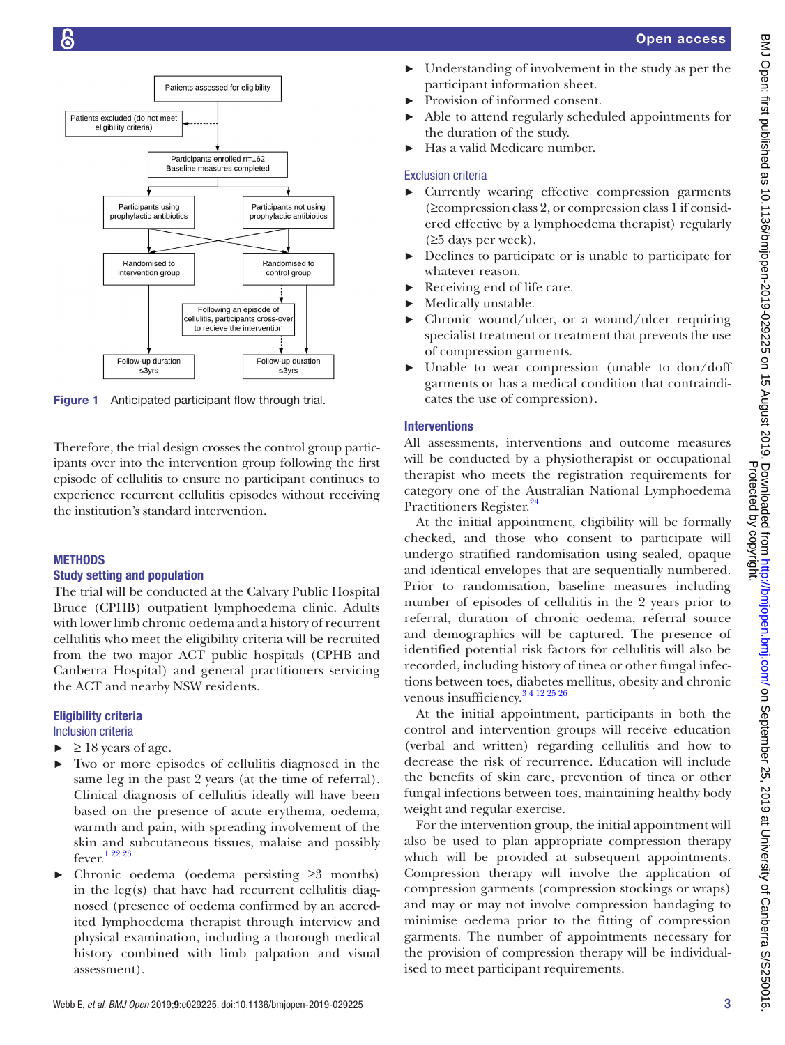

<span id="page-2-0"></span>Figure 1 Anticipated participant flow through trial.

Therefore, the trial design crosses the control group participants over into the intervention group following the first episode of cellulitis to ensure no participant continues to experience recurrent cellulitis episodes without receiving the institution's standard intervention.

# **METHODS**

# Study setting and population

The trial will be conducted at the Calvary Public Hospital Bruce (CPHB) outpatient lymphoedema clinic. Adults with lower limb chronic oedema and a history of recurrent cellulitis who meet the eligibility criteria will be recruited from the two major ACT public hospitals (CPHB and Canberra Hospital) and general practitioners servicing the ACT and nearby NSW residents.

# Eligibility criteria

Inclusion criteria

- $\blacktriangleright$   $\geq$  18 years of age.
- Two or more episodes of cellulitis diagnosed in the same leg in the past 2 years (at the time of referral). Clinical diagnosis of cellulitis ideally will have been based on the presence of acute erythema, oedema, warmth and pain, with spreading involvement of the skin and subcutaneous tissues, malaise and possibly fever[.1 22 23](#page-7-0)
- Chronic oedema (oedema persisting  $\geq$ 3 months) in the leg(s) that have had recurrent cellulitis diagnosed (presence of oedema confirmed by an accredited lymphoedema therapist through interview and physical examination, including a thorough medical history combined with limb palpation and visual assessment).
- Understanding of involvement in the study as per the participant information sheet.
- Provision of informed consent.
- Able to attend regularly scheduled appointments for the duration of the study.
- Has a valid Medicare number.

# Exclusion criteria

- ► Currently wearing effective compression garments (≥compressionclass 2, or compression class 1 if considered effective by a lymphoedema therapist) regularly  $(\geq 5$  days per week).
- ► Declines to participate or is unable to participate for whatever reason.
- Receiving end of life care.
- ► Medically unstable.
- Chronic wound/ulcer, or a wound/ulcer requiring specialist treatment or treatment that prevents the use of compression garments.
- ► Unable to wear compression (unable to don/doff garments or has a medical condition that contraindicates the use of compression).

# Interventions

All assessments, interventions and outcome measures will be conducted by a physiotherapist or occupational therapist who meets the registration requirements for category one of the Australian National Lymphoedema Practitioners Register.<sup>24</sup>

At the initial appointment, eligibility will be formally checked, and those who consent to participate will undergo stratified randomisation using sealed, opaque and identical envelopes that are sequentially numbered. Prior to randomisation, baseline measures including number of episodes of cellulitis in the 2 years prior to referral, duration of chronic oedema, referral source and demographics will be captured. The presence of identified potential risk factors for cellulitis will also be recorded, including history of tinea or other fungal infections between toes, diabetes mellitus, obesity and chronic venous insufficiency[.3 4 12 25 26](#page-7-16)

At the initial appointment, participants in both the control and intervention groups will receive education (verbal and written) regarding cellulitis and how to decrease the risk of recurrence. Education will include the benefits of skin care, prevention of tinea or other fungal infections between toes, maintaining healthy body weight and regular exercise.

For the intervention group, the initial appointment will also be used to plan appropriate compression therapy which will be provided at subsequent appointments. Compression therapy will involve the application of compression garments (compression stockings or wraps) and may or may not involve compression bandaging to minimise oedema prior to the fitting of compression garments. The number of appointments necessary for the provision of compression therapy will be individualised to meet participant requirements.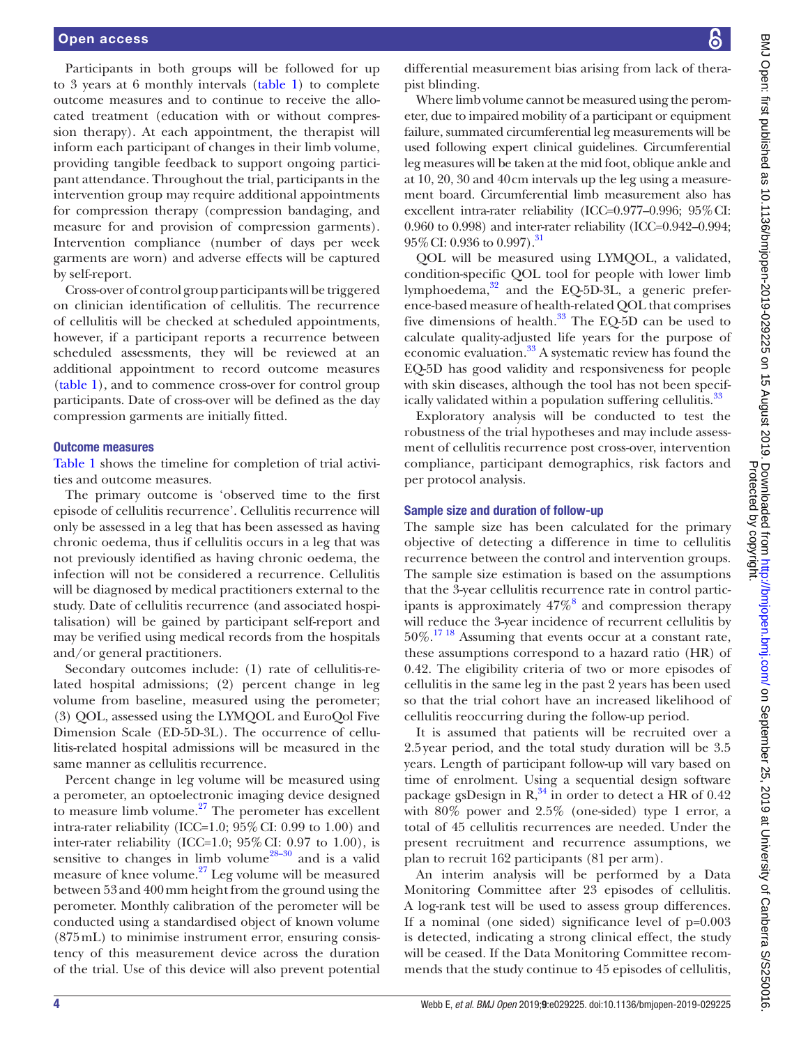Participants in both groups will be followed for up to 3 years at 6 monthly intervals ([table](#page-4-0) 1) to complete outcome measures and to continue to receive the allocated treatment (education with or without compression therapy). At each appointment, the therapist will inform each participant of changes in their limb volume, providing tangible feedback to support ongoing participant attendance. Throughout the trial, participants in the intervention group may require additional appointments for compression therapy (compression bandaging, and measure for and provision of compression garments). Intervention compliance (number of days per week garments are worn) and adverse effects will be captured by self-report.

Cross-over of control group participants will be triggered on clinician identification of cellulitis. The recurrence of cellulitis will be checked at scheduled appointments, however, if a participant reports a recurrence between scheduled assessments, they will be reviewed at an additional appointment to record outcome measures ([table](#page-4-0) 1), and to commence cross-over for control group participants. Date of cross-over will be defined as the day compression garments are initially fitted.

#### Outcome measures

[Table](#page-4-0) 1 shows the timeline for completion of trial activities and outcome measures.

The primary outcome is 'observed time to the first episode of cellulitis recurrence'. Cellulitis recurrence will only be assessed in a leg that has been assessed as having chronic oedema, thus if cellulitis occurs in a leg that was not previously identified as having chronic oedema, the infection will not be considered a recurrence. Cellulitis will be diagnosed by medical practitioners external to the study. Date of cellulitis recurrence (and associated hospitalisation) will be gained by participant self-report and may be verified using medical records from the hospitals and/or general practitioners.

Secondary outcomes include: (1) rate of cellulitis-related hospital admissions; (2) percent change in leg volume from baseline, measured using the perometer; (3) QOL, assessed using the LYMQOL and EuroQol Five Dimension Scale (ED-5D-3L). The occurrence of cellulitis-related hospital admissions will be measured in the same manner as cellulitis recurrence.

Percent change in leg volume will be measured using a perometer, an optoelectronic imaging device designed to measure limb volume. $27$  The perometer has excellent intra-rater reliability (ICC=1.0; 95%CI: 0.99 to 1.00) and inter-rater reliability (ICC=1.0;  $95\%$  CI: 0.97 to 1.00), is sensitive to changes in limb volume<sup>28-30</sup> and is a valid measure of knee volume.[27](#page-7-17) Leg volume will be measured between 53and 400mm height from the ground using the perometer. Monthly calibration of the perometer will be conducted using a standardised object of known volume (875mL) to minimise instrument error, ensuring consistency of this measurement device across the duration of the trial. Use of this device will also prevent potential

differential measurement bias arising from lack of therapist blinding.

Where limb volume cannot be measured using the perometer, due to impaired mobility of a participant or equipment failure, summated circumferential leg measurements will be used following expert clinical guidelines. Circumferential leg measures will be taken at the mid foot, oblique ankle and at 10, 20, 30 and 40cm intervals up the leg using a measurement board. Circumferential limb measurement also has excellent intra-rater reliability (ICC=0.977–0.996; 95%CI: 0.960 to 0.998) and inter-rater reliability (ICC=0.942–0.994; 95%CI: 0.936 to 0.997)[.31](#page-7-19)

QOL will be measured using LYMQOL, a validated, condition-specific QOL tool for people with lower limb lymphoedema, $32$  and the EQ-5D-3L, a generic preference-based measure of health-related QOL that comprises five dimensions of health. $33$  The EQ-5D can be used to calculate quality-adjusted life years for the purpose of economic evaluation.<sup>33</sup> A systematic review has found the EQ-5D has good validity and responsiveness for people with skin diseases, although the tool has not been specifically validated within a population suffering cellulitis.<sup>33</sup>

Exploratory analysis will be conducted to test the robustness of the trial hypotheses and may include assessment of cellulitis recurrence post cross-over, intervention compliance, participant demographics, risk factors and per protocol analysis.

#### Sample size and duration of follow-up

The sample size has been calculated for the primary objective of detecting a difference in time to cellulitis recurrence between the control and intervention groups. The sample size estimation is based on the assumptions that the 3-year cellulitis recurrence rate in control participants is approximately  $47\%$ <sup>[8](#page-7-4)</sup> and compression therapy will reduce the 3-year incidence of recurrent cellulitis by  $50\%$ .<sup>[17 18](#page-7-11)</sup> Assuming that events occur at a constant rate, these assumptions correspond to a hazard ratio (HR) of 0.42. The eligibility criteria of two or more episodes of cellulitis in the same leg in the past 2 years has been used so that the trial cohort have an increased likelihood of cellulitis reoccurring during the follow-up period.

It is assumed that patients will be recruited over a 2.5year period, and the total study duration will be 3.5 years. Length of participant follow-up will vary based on time of enrolment. Using a sequential design software package gsDesign in  $R^{34}$  in order to detect a HR of 0.42 with 80% power and 2.5% (one-sided) type 1 error, a total of 45 cellulitis recurrences are needed. Under the present recruitment and recurrence assumptions, we plan to recruit 162 participants (81 per arm).

An interim analysis will be performed by a Data Monitoring Committee after 23 episodes of cellulitis. A log-rank test will be used to assess group differences. If a nominal (one sided) significance level of p=0.003 is detected, indicating a strong clinical effect, the study will be ceased. If the Data Monitoring Committee recommends that the study continue to 45 episodes of cellulitis,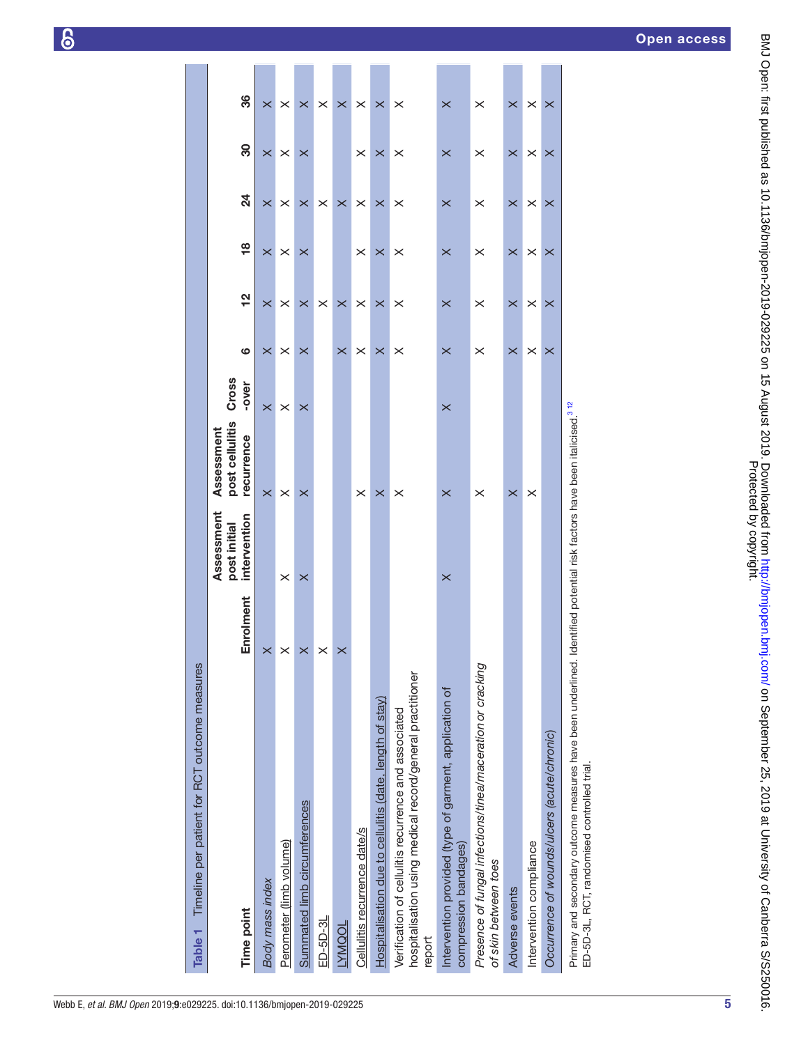| Timeline per patient for RCT outcome measures<br>Table <sub>1</sub>                                                         |           |                                            |                                                                        |                |          |               |               |                |          |          |
|-----------------------------------------------------------------------------------------------------------------------------|-----------|--------------------------------------------|------------------------------------------------------------------------|----------------|----------|---------------|---------------|----------------|----------|----------|
| Time point                                                                                                                  | Enrolment | Assessment<br>intervention<br>post initial | post cellulitis<br>Assessment<br>recurrence                            | Cross<br>-over | ဖ        | $\frac{2}{3}$ | $\frac{8}{1}$ | $\overline{a}$ | 80       | 86       |
| Body mass index                                                                                                             | $\times$  |                                            | $\times$                                                               | $\times$       | $\times$ | $\times$      | $\times$      | $\times$       | $\times$ | $\times$ |
| Perometer (limb volume)                                                                                                     | $\times$  | $\times$                                   | $\times$                                                               | $\times$       | $\times$ | $\times$      | $\times$      | $\times$       | $\times$ | $\times$ |
| Summated limb circumferences                                                                                                | $\times$  | $\times$                                   | $\times$                                                               | $\times$       | $\times$ | $\times$      | $\times$      | $\times$       | $\times$ | $\times$ |
| $ED-5D-3L$                                                                                                                  | $\times$  |                                            |                                                                        |                |          | $\times$      |               | $\times$       |          | $\times$ |
| TODINIAT                                                                                                                    | $\times$  |                                            |                                                                        |                | $\times$ | $\times$      |               | $\times$       |          | $\times$ |
| Cellulitis recurrence date/s                                                                                                |           |                                            | $\times$                                                               |                | $\times$ | $\times$      | ×             | $\times$       | $\times$ | $\times$ |
| Hospitalisation due to cellulitis (date, length of stay)                                                                    |           |                                            | $\times$                                                               |                | $\times$ | $\times$      | $\times$      | $\times$       | $\times$ | $\times$ |
| hospitalisation using medical record/general practitioner<br>Verification of cellulitis recurrence and associated<br>report |           |                                            | $\times$                                                               |                | $\times$ | $\times$      | $\times$      | $\times$       | $\times$ | $\times$ |
| Intervention provided (type of garment, application of<br>compression bandages)                                             |           | $\times$                                   | $\times$                                                               | $\times$       | $\times$ | $\times$      | $\times$      | $\times$       | $\times$ | $\times$ |
| Presence of fungal infections/tinea/maceration or cracking<br>of skin between toes                                          |           |                                            | $\times$                                                               |                | $\times$ | $\times$      | $\times$      | $\times$       | $\times$ | $\times$ |
| Adverse events                                                                                                              |           |                                            | $\times$                                                               |                | $\times$ | $\times$      | $\times$      | $\times$       | $\times$ | $\times$ |
| Intervention compliance                                                                                                     |           |                                            | $\times$                                                               |                | ×        | $\times$      | $\times$      | $\times$       | $\times$ | $\times$ |
| Occurrence of wounds/ulcers (acute/chronic)                                                                                 |           |                                            |                                                                        |                | ×        | $\times$      | $\times$      | $\times$       | $\times$ | $\times$ |
| Primary and secondary outcome measures have been underlined.<br>ED-5D-3L, RCT, randomised controlled trial.                 |           |                                            | Identified potential risk factors have been italicised. <sup>312</sup> |                |          |               |               |                |          |          |

<span id="page-4-0"></span>5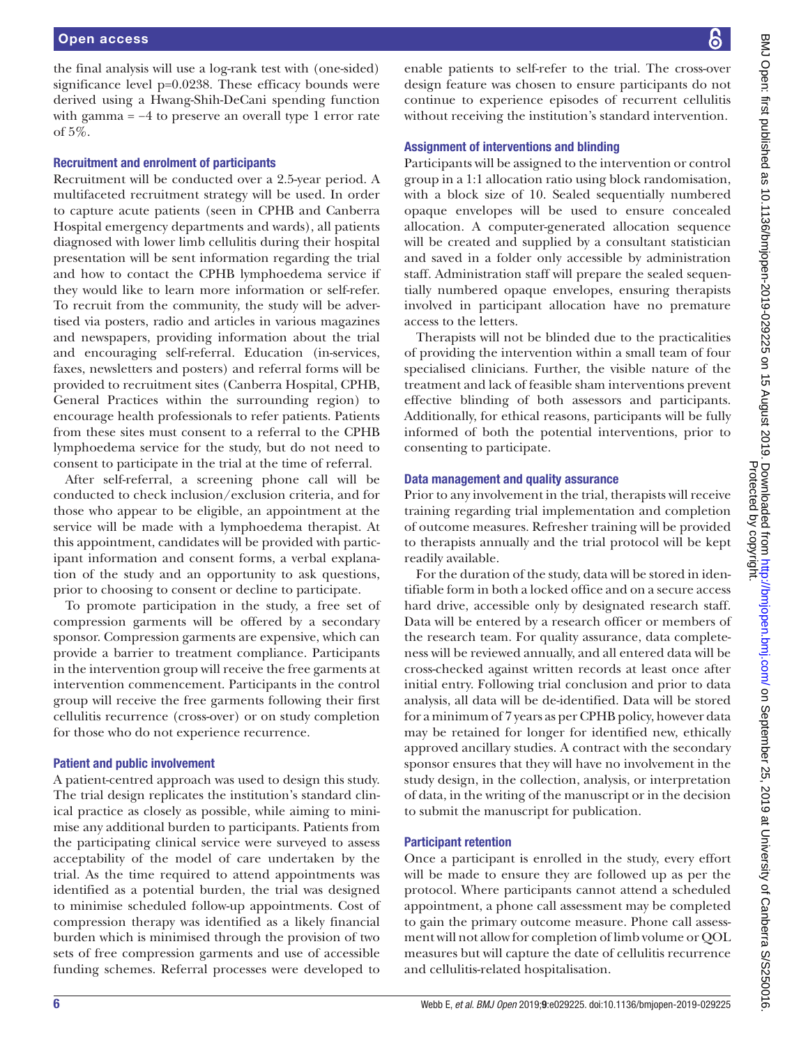the final analysis will use a log-rank test with (one-sided) significance level p=0.0238. These efficacy bounds were derived using a Hwang-Shih-DeCani spending function with gamma =  $-4$  to preserve an overall type 1 error rate of 5%.

#### Recruitment and enrolment of participants

Recruitment will be conducted over a 2.5-year period. A multifaceted recruitment strategy will be used. In order to capture acute patients (seen in CPHB and Canberra Hospital emergency departments and wards), all patients diagnosed with lower limb cellulitis during their hospital presentation will be sent information regarding the trial and how to contact the CPHB lymphoedema service if they would like to learn more information or self-refer. To recruit from the community, the study will be advertised via posters, radio and articles in various magazines and newspapers, providing information about the trial and encouraging self-referral. Education (in-services, faxes, newsletters and posters) and referral forms will be provided to recruitment sites (Canberra Hospital, CPHB, General Practices within the surrounding region) to encourage health professionals to refer patients. Patients from these sites must consent to a referral to the CPHB lymphoedema service for the study, but do not need to consent to participate in the trial at the time of referral.

After self-referral, a screening phone call will be conducted to check inclusion/exclusion criteria, and for those who appear to be eligible, an appointment at the service will be made with a lymphoedema therapist. At this appointment, candidates will be provided with participant information and consent forms, a verbal explanation of the study and an opportunity to ask questions, prior to choosing to consent or decline to participate.

To promote participation in the study, a free set of compression garments will be offered by a secondary sponsor. Compression garments are expensive, which can provide a barrier to treatment compliance. Participants in the intervention group will receive the free garments at intervention commencement. Participants in the control group will receive the free garments following their first cellulitis recurrence (cross-over) or on study completion for those who do not experience recurrence.

#### Patient and public involvement

A patient-centred approach was used to design this study. The trial design replicates the institution's standard clinical practice as closely as possible, while aiming to minimise any additional burden to participants. Patients from the participating clinical service were surveyed to assess acceptability of the model of care undertaken by the trial. As the time required to attend appointments was identified as a potential burden, the trial was designed to minimise scheduled follow-up appointments. Cost of compression therapy was identified as a likely financial burden which is minimised through the provision of two sets of free compression garments and use of accessible funding schemes. Referral processes were developed to

enable patients to self-refer to the trial. The cross-over design feature was chosen to ensure participants do not continue to experience episodes of recurrent cellulitis without receiving the institution's standard intervention.

#### Assignment of interventions and blinding

Participants will be assigned to the intervention or control group in a 1:1 allocation ratio using block randomisation, with a block size of 10. Sealed sequentially numbered opaque envelopes will be used to ensure concealed allocation. A computer-generated allocation sequence will be created and supplied by a consultant statistician and saved in a folder only accessible by administration staff. Administration staff will prepare the sealed sequentially numbered opaque envelopes, ensuring therapists involved in participant allocation have no premature access to the letters.

Therapists will not be blinded due to the practicalities of providing the intervention within a small team of four specialised clinicians. Further, the visible nature of the treatment and lack of feasible sham interventions prevent effective blinding of both assessors and participants. Additionally, for ethical reasons, participants will be fully informed of both the potential interventions, prior to consenting to participate.

#### Data management and quality assurance

Prior to any involvement in the trial, therapists will receive training regarding trial implementation and completion of outcome measures. Refresher training will be provided to therapists annually and the trial protocol will be kept readily available.

For the duration of the study, data will be stored in identifiable form in both a locked office and on a secure access hard drive, accessible only by designated research staff. Data will be entered by a research officer or members of the research team. For quality assurance, data completeness will be reviewed annually, and all entered data will be cross-checked against written records at least once after initial entry. Following trial conclusion and prior to data analysis, all data will be de-identified. Data will be stored for a minimum of 7 years as per CPHB policy, however data may be retained for longer for identified new, ethically approved ancillary studies. A contract with the secondary sponsor ensures that they will have no involvement in the study design, in the collection, analysis, or interpretation of data, in the writing of the manuscript or in the decision to submit the manuscript for publication.

#### Participant retention

Once a participant is enrolled in the study, every effort will be made to ensure they are followed up as per the protocol. Where participants cannot attend a scheduled appointment, a phone call assessment may be completed to gain the primary outcome measure. Phone call assessment will not allow for completion of limb volume or QOL measures but will capture the date of cellulitis recurrence and cellulitis-related hospitalisation.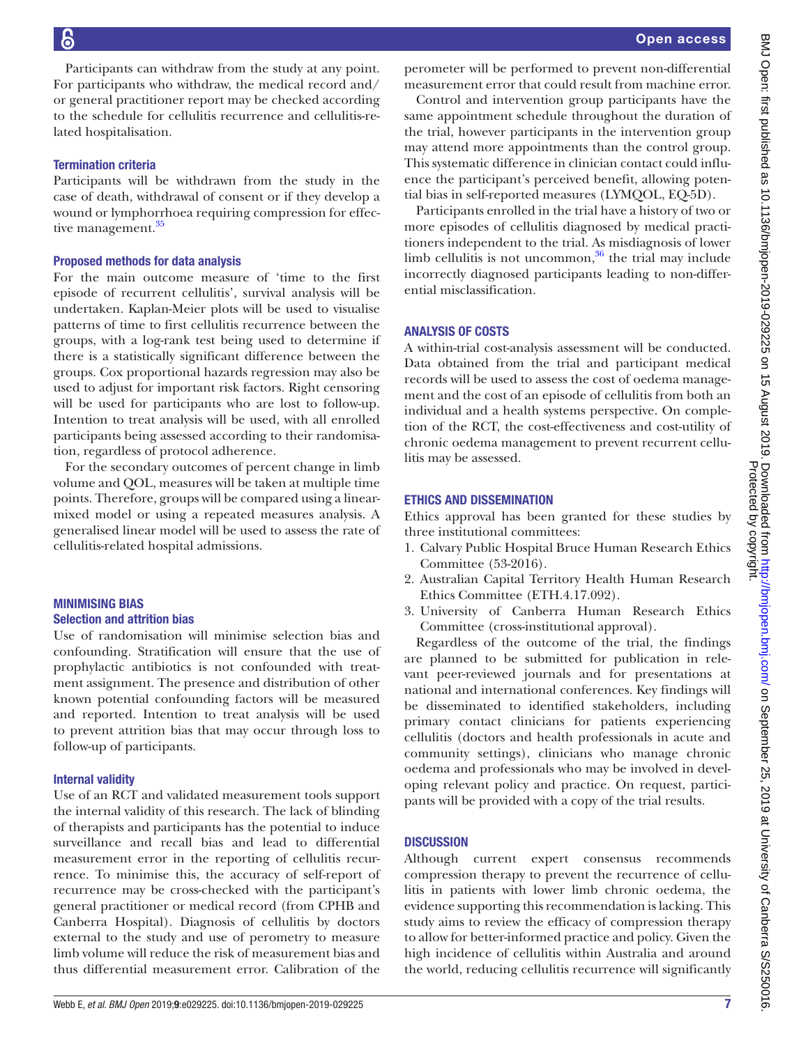Participants can withdraw from the study at any point. For participants who withdraw, the medical record and/ or general practitioner report may be checked according to the schedule for cellulitis recurrence and cellulitis-related hospitalisation.

# Termination criteria

Participants will be withdrawn from the study in the case of death, withdrawal of consent or if they develop a wound or lymphorrhoea requiring compression for effective management.<sup>35</sup>

#### Proposed methods for data analysis

For the main outcome measure of 'time to the first episode of recurrent cellulitis', survival analysis will be undertaken. Kaplan-Meier plots will be used to visualise patterns of time to first cellulitis recurrence between the groups, with a log-rank test being used to determine if there is a statistically significant difference between the groups. Cox proportional hazards regression may also be used to adjust for important risk factors. Right censoring will be used for participants who are lost to follow-up. Intention to treat analysis will be used, with all enrolled participants being assessed according to their randomisation, regardless of protocol adherence.

For the secondary outcomes of percent change in limb volume and QOL, measures will be taken at multiple time points. Therefore, groups will be compared using a linearmixed model or using a repeated measures analysis. A generalised linear model will be used to assess the rate of cellulitis-related hospital admissions.

# Minimising bias Selection and attrition bias

Use of randomisation will minimise selection bias and confounding. Stratification will ensure that the use of prophylactic antibiotics is not confounded with treatment assignment. The presence and distribution of other known potential confounding factors will be measured and reported. Intention to treat analysis will be used to prevent attrition bias that may occur through loss to follow-up of participants.

# Internal validity

Use of an RCT and validated measurement tools support the internal validity of this research. The lack of blinding of therapists and participants has the potential to induce surveillance and recall bias and lead to differential measurement error in the reporting of cellulitis recurrence. To minimise this, the accuracy of self-report of recurrence may be cross-checked with the participant's general practitioner or medical record (from CPHB and Canberra Hospital). Diagnosis of cellulitis by doctors external to the study and use of perometry to measure limb volume will reduce the risk of measurement bias and thus differential measurement error. Calibration of the

perometer will be performed to prevent non-differential measurement error that could result from machine error.

Control and intervention group participants have the same appointment schedule throughout the duration of the trial, however participants in the intervention group may attend more appointments than the control group. This systematic difference in clinician contact could influence the participant's perceived benefit, allowing potential bias in self-reported measures (LYMQOL, EQ-5D).

Participants enrolled in the trial have a history of two or more episodes of cellulitis diagnosed by medical practitioners independent to the trial. As misdiagnosis of lower limb cellulitis is not uncommon, $36$  the trial may include incorrectly diagnosed participants leading to non-differential misclassification.

# Analysis of costs

A within-trial cost-analysis assessment will be conducted. Data obtained from the trial and participant medical records will be used to assess the cost of oedema management and the cost of an episode of cellulitis from both an individual and a health systems perspective. On completion of the RCT, the cost-effectiveness and cost-utility of chronic oedema management to prevent recurrent cellulitis may be assessed.

# Ethics and dissemination

Ethics approval has been granted for these studies by three institutional committees:

- 1. Calvary Public Hospital Bruce Human Research Ethics Committee (53-2016).
- 2. Australian Capital Territory Health Human Research Ethics Committee (ETH.4.17.092).
- 3. University of Canberra Human Research Ethics Committee (cross-institutional approval).

Regardless of the outcome of the trial, the findings are planned to be submitted for publication in relevant peer-reviewed journals and for presentations at national and international conferences. Key findings will be disseminated to identified stakeholders, including primary contact clinicians for patients experiencing cellulitis (doctors and health professionals in acute and community settings), clinicians who manage chronic oedema and professionals who may be involved in developing relevant policy and practice. On request, participants will be provided with a copy of the trial results.

# **DISCUSSION**

Although current expert consensus recommends compression therapy to prevent the recurrence of cellulitis in patients with lower limb chronic oedema, the evidence supporting this recommendation is lacking. This study aims to review the efficacy of compression therapy to allow for better-informed practice and policy. Given the high incidence of cellulitis within Australia and around the world, reducing cellulitis recurrence will significantly